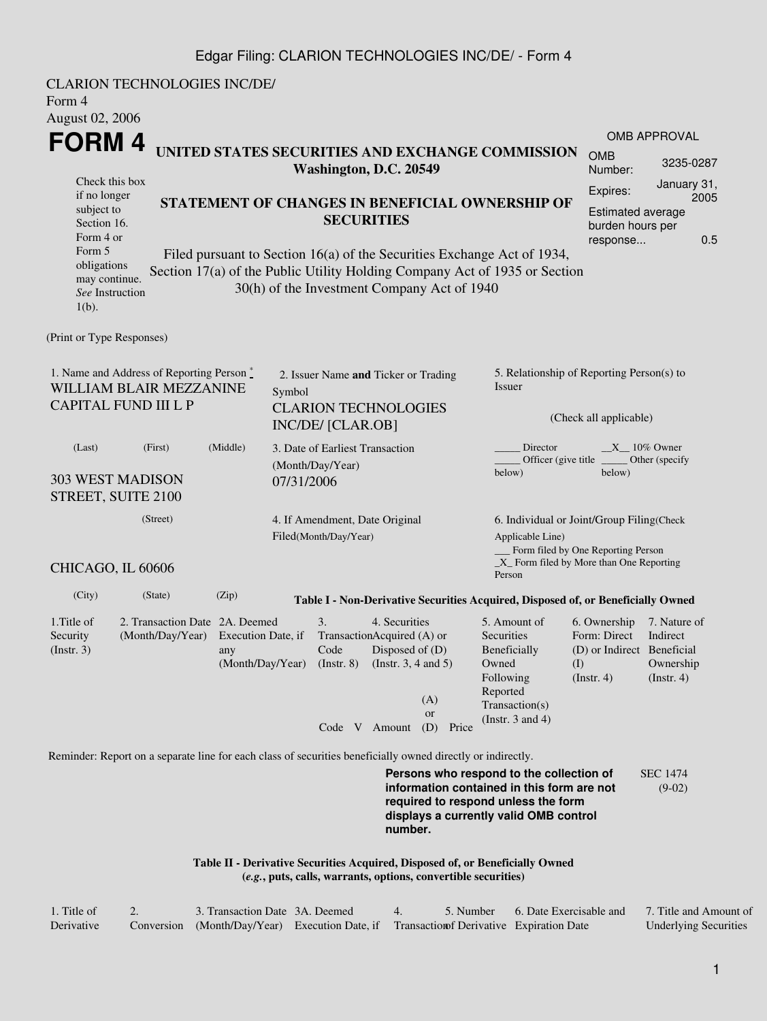#### Edgar Filing: CLARION TECHNOLOGIES INC/DE/ - Form 4

CLARION TECHNOLOGIES INC/DE/ Form 4 August 02, 2006 **FORM 4** Check this box if no longer subject to Section 16. Form 4 or Form 5 obligations may continue. *See* Instruction  $1(h)$ . **UNITED STATES SECURITIES AND EXCHANGE COMMISSION Washington, D.C. 20549 STATEMENT OF CHANGES IN BENEFICIAL OWNERSHIP OF SECURITIES** Filed pursuant to Section 16(a) of the Securities Exchange Act of 1934, Section 17(a) of the Public Utility Holding Company Act of 1935 or Section 30(h) of the Investment Company Act of 1940 OMB APPROVAL OMB Number: 3235-0287 Expires: January 31, 2005 Estimated average burden hours per response... 0.5 (Print or Type Responses) 1. Name and Address of Reporting Person  $\degree$ WILLIAM BLAIR MEZZANINE CAPITAL FUND III L P 2. Issuer Name **and** Ticker or Trading Symbol CLARION TECHNOLOGIES INC/DE/ [CLAR.OB] 5. Relationship of Reporting Person(s) to Issuer (Check all applicable) Director \_\_\_\_\_\_\_ \_\_\_\_\_ 10% Owner Officer (give title below) Other (specify below) (Last) (First) (Middle) 303 WEST MADISON STREET, SUITE 2100 3. Date of Earliest Transaction (Month/Day/Year) 07/31/2006 (Street) CHICAGO, IL 60606 4. If Amendment, Date Original Filed(Month/Day/Year) 6. Individual or Joint/Group Filing(Check Applicable Line) Form filed by One Reporting Person \_X\_ Form filed by More than One Reporting Person (City) (State) (Zip) **Table I - Non-Derivative Securities Acquired, Disposed of, or Beneficially Owned** 1.Title of Security (Instr. 3) 2. Transaction Date 2A. Deemed (Month/Day/Year) Execution Date, if any (Month/Day/Year) 3. Transaction Acquired (A) or Code (Instr. 8) 4. Securities Disposed of (D) (Instr. 3, 4 and 5) 5. Amount of **Securities** Beneficially Owned Following Reported Transaction(s) (Instr. 3 and 4) 6. Ownership Form: Direct (D) or Indirect Beneficial (I) (Instr. 4) 7. Nature of Indirect Ownership (Instr. 4) Code V Amount (D) Price (A) or Reminder: Report on a separate line for each class of securities beneficially owned directly or indirectly. **Persons who respond to the collection of information contained in this form are not required to respond unless the form displays a currently valid OMB control number.** SEC 1474 (9-02) **Table II - Derivative Securities Acquired, Disposed of, or Beneficially Owned (***e.g.***, puts, calls, warrants, options, convertible securities)**

| 1. Title of | 3. Transaction Date 3A. Deemed                                                           |  | 5. Number - | 6. Date Exercisable and | 7. Title and Amount of       |
|-------------|------------------------------------------------------------------------------------------|--|-------------|-------------------------|------------------------------|
| Derivative  | Conversion (Month/Day/Year) Execution Date, if Transaction of Derivative Expiration Date |  |             |                         | <b>Underlying Securities</b> |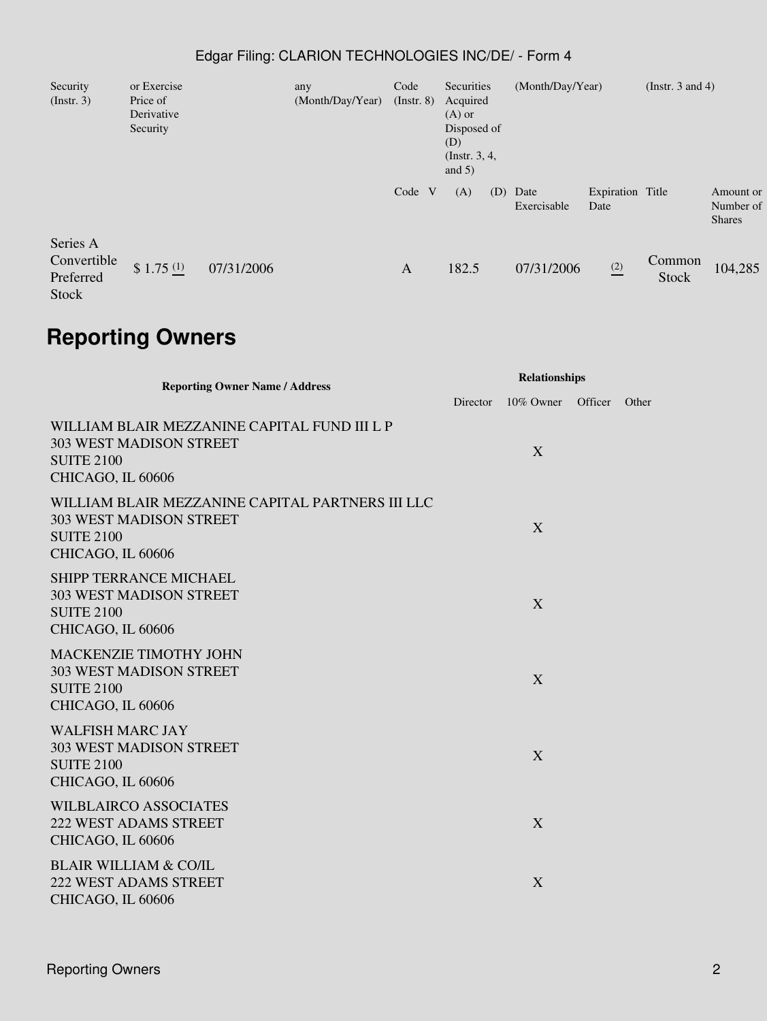### Edgar Filing: CLARION TECHNOLOGIES INC/DE/ - Form 4

| Security<br>$($ Instr. 3 $)$                  | or Exercise<br>Price of<br>Derivative<br>Security |            | any<br>(Month/Day/Year) | Code<br>$($ Instr. 8 $)$ | Securities<br>Acquired<br>$(A)$ or<br>Disposed of<br>(D)<br>(Instr. $3, 4,$<br>and $5)$ |     | (Month/Day/Year)    |                          | (Instr. $3$ and $4$ )  |                                         |
|-----------------------------------------------|---------------------------------------------------|------------|-------------------------|--------------------------|-----------------------------------------------------------------------------------------|-----|---------------------|--------------------------|------------------------|-----------------------------------------|
|                                               |                                                   |            |                         | Code                     | (A)                                                                                     | (D) | Date<br>Exercisable | Expiration Title<br>Date |                        | Amount or<br>Number of<br><b>Shares</b> |
| Series A<br>Convertible<br>Preferred<br>Stock | \$1.75 <sup>(1)</sup>                             | 07/31/2006 |                         | $\mathbf{A}$             | 182.5                                                                                   |     | 07/31/2006          | (2)                      | Common<br><b>Stock</b> | 104,285                                 |

# **Reporting Owners**

| <b>Reporting Owner Name / Address</b>                                                                                        | <b>Relationships</b> |           |         |       |  |
|------------------------------------------------------------------------------------------------------------------------------|----------------------|-----------|---------|-------|--|
|                                                                                                                              | Director             | 10% Owner | Officer | Other |  |
| WILLIAM BLAIR MEZZANINE CAPITAL FUND III L P<br><b>303 WEST MADISON STREET</b><br><b>SUITE 2100</b><br>CHICAGO, IL 60606     |                      | X         |         |       |  |
| WILLIAM BLAIR MEZZANINE CAPITAL PARTNERS III LLC<br><b>303 WEST MADISON STREET</b><br><b>SUITE 2100</b><br>CHICAGO, IL 60606 |                      | X         |         |       |  |
| <b>SHIPP TERRANCE MICHAEL</b><br><b>303 WEST MADISON STREET</b><br><b>SUITE 2100</b><br>CHICAGO, IL 60606                    |                      | X         |         |       |  |
| <b>MACKENZIE TIMOTHY JOHN</b><br><b>303 WEST MADISON STREET</b><br><b>SUITE 2100</b><br>CHICAGO, IL 60606                    |                      | X         |         |       |  |
| <b>WALFISH MARC JAY</b><br><b>303 WEST MADISON STREET</b><br><b>SUITE 2100</b><br>CHICAGO, IL 60606                          |                      | X         |         |       |  |
| <b>WILBLAIRCO ASSOCIATES</b><br><b>222 WEST ADAMS STREET</b><br>CHICAGO, IL 60606                                            |                      | X         |         |       |  |
| <b>BLAIR WILLIAM &amp; CO/IL</b><br><b>222 WEST ADAMS STREET</b><br>CHICAGO, IL 60606                                        |                      | X         |         |       |  |